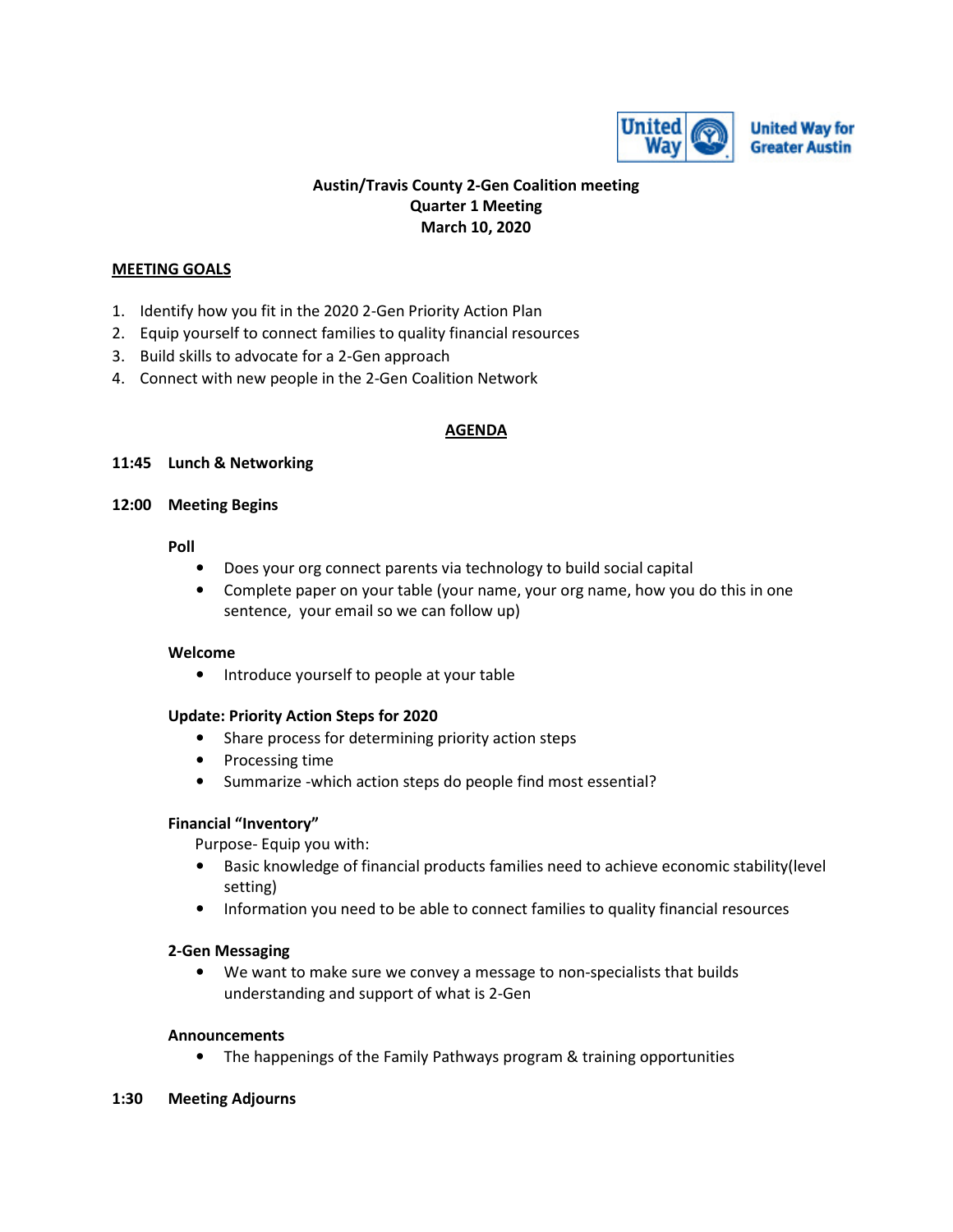

**United Way for Greater Austin** 

## **Austin/Travis County 2-Gen Coalition meeting Quarter 1 Meeting March 10, 2020**

## **MEETING GOALS**

- 1. Identify how you fit in the 2020 2-Gen Priority Action Plan
- 2. Equip yourself to connect families to quality financial resources
- 3. Build skills to advocate for a 2-Gen approach
- 4. Connect with new people in the 2-Gen Coalition Network

#### **AGENDA**

#### **11:45 Lunch & Networking**

#### **12:00 Meeting Begins**

#### **Poll**

- Does your org connect parents via technology to build social capital
- Complete paper on your table (your name, your org name, how you do this in one sentence, your email so we can follow up)

#### **Welcome**

• Introduce yourself to people at your table

### **Update: Priority Action Steps for 2020**

- Share process for determining priority action steps
- Processing time
- Summarize -which action steps do people find most essential?

### **Financial "Inventory"**

Purpose- Equip you with:

- Basic knowledge of financial products families need to achieve economic stability(level setting)
- Information you need to be able to connect families to quality financial resources

#### **2-Gen Messaging**

• We want to make sure we convey a message to non-specialists that builds understanding and support of what is 2-Gen

#### **Announcements**

• The happenings of the Family Pathways program & training opportunities

#### **1:30 Meeting Adjourns**